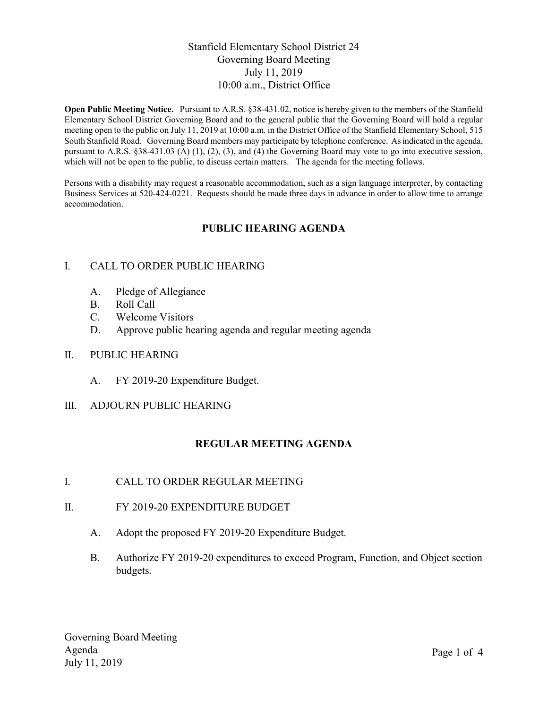### Stanfield Elementary School District 24 Governing Board Meeting July 11, 2019 10:00 a.m., District Office

Open Public Meeting Notice. Pursuant to A.R.S. §38-431.02, notice is hereby given to the members of the Stanfield Elementary School District Governing Board and to the general public that the Governing Board will hold a regular meeting open to the public on July 11, 2019 at 10:00 a.m. in the District Office of the Stanfield Elementary School, 515 South Stanfield Road. Governing Board members may participate by telephone conference. As indicated in the agenda, pursuant to A.R.S. §38-431.03 (A) (1), (2), (3), and (4) the Governing Board may vote to go into executive session, which will not be open to the public, to discuss certain matters. The agenda for the meeting follows.

Persons with a disability may request a reasonable accommodation, such as a sign language interpreter, by contacting Business Services at 520-424-0221. Requests should be made three days in advance in order to allow time to arrange accommodation.

# PUBLIC HEARING AGENDA

### I. CALL TO ORDER PUBLIC HEARING

- A. Pledge of Allegiance
- B. Roll Call
- C. Welcome Visitors
- D. Approve public hearing agenda and regular meeting agenda

#### II. PUBLIC HEARING

A. FY 2019-20 Expenditure Budget.

#### III. ADJOURN PUBLIC HEARING

### REGULAR MEETING AGENDA

- I. CALL TO ORDER REGULAR MEETING
- II. FY 2019-20 EXPENDITURE BUDGET
	- A. Adopt the proposed FY 2019-20 Expenditure Budget.
	- B. Authorize FY 2019-20 expenditures to exceed Program, Function, and Object section budgets.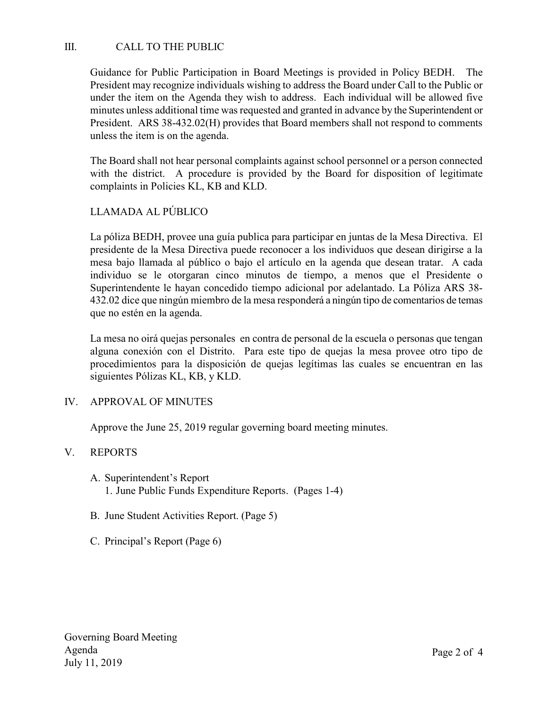## III. CALL TO THE PUBLIC

Guidance for Public Participation in Board Meetings is provided in Policy BEDH. The President may recognize individuals wishing to address the Board under Call to the Public or under the item on the Agenda they wish to address. Each individual will be allowed five minutes unless additional time was requested and granted in advance by the Superintendent or President. ARS 38-432.02(H) provides that Board members shall not respond to comments unless the item is on the agenda.

The Board shall not hear personal complaints against school personnel or a person connected with the district. A procedure is provided by the Board for disposition of legitimate complaints in Policies KL, KB and KLD.

## LLAMADA AL PÚBLICO

La póliza BEDH, provee una guía publica para participar en juntas de la Mesa Directiva. El presidente de la Mesa Directiva puede reconocer a los individuos que desean dirigirse a la mesa bajo llamada al público o bajo el artículo en la agenda que desean tratar. A cada individuo se le otorgaran cinco minutos de tiempo, a menos que el Presidente o Superintendente le hayan concedido tiempo adicional por adelantado. La Póliza ARS 38- 432.02 dice que ningún miembro de la mesa responderá a ningún tipo de comentarios de temas que no estén en la agenda.

La mesa no oirá quejas personales en contra de personal de la escuela o personas que tengan alguna conexión con el Distrito. Para este tipo de quejas la mesa provee otro tipo de procedimientos para la disposición de quejas legítimas las cuales se encuentran en las siguientes Pólizas KL, KB, y KLD.

#### IV. APPROVAL OF MINUTES

Approve the June 25, 2019 regular governing board meeting minutes.

### V. REPORTS

- A. Superintendent's Report 1. June Public Funds Expenditure Reports. (Pages 1-4)
- B. June Student Activities Report. (Page 5)
- C. Principal's Report (Page 6)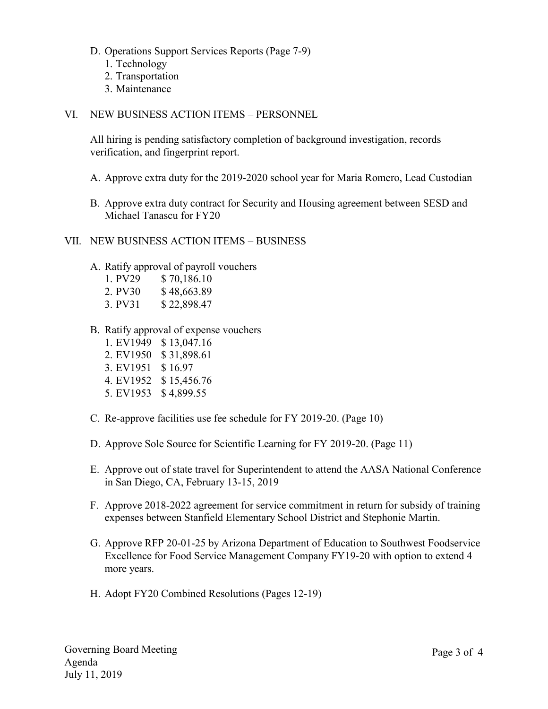- D. Operations Support Services Reports (Page 7-9)
	- 1. Technology
	- 2. Transportation
	- 3. Maintenance

#### VI. NEW BUSINESS ACTION ITEMS – PERSONNEL

All hiring is pending satisfactory completion of background investigation, records verification, and fingerprint report.

- A. Approve extra duty for the 2019-2020 school year for Maria Romero, Lead Custodian
- B. Approve extra duty contract for Security and Housing agreement between SESD and Michael Tanascu for FY20

#### VII. NEW BUSINESS ACTION ITEMS – BUSINESS

A. Ratify approval of payroll vouchers

| 1. PV29 | \$70,186.10 |
|---------|-------------|
| 2. PV30 | \$48,663.89 |
| 3. PV31 | \$22,898.47 |

- B. Ratify approval of expense vouchers
	- 1. EV1949 \$ 13,047.16 2. EV1950 \$ 31,898.61
	-
	- 3. EV1951 \$ 16.97
	- 4. EV1952 \$ 15,456.76
	- 5. EV1953 \$ 4,899.55
- C. Re-approve facilities use fee schedule for FY 2019-20. (Page 10)
- D. Approve Sole Source for Scientific Learning for FY 2019-20. (Page 11)
- E. Approve out of state travel for Superintendent to attend the AASA National Conference in San Diego, CA, February 13-15, 2019
- F. Approve 2018-2022 agreement for service commitment in return for subsidy of training expenses between Stanfield Elementary School District and Stephonie Martin.
- G. Approve RFP 20-01-25 by Arizona Department of Education to Southwest Foodservice Excellence for Food Service Management Company FY19-20 with option to extend 4 more years.
- H. Adopt FY20 Combined Resolutions (Pages 12-19)